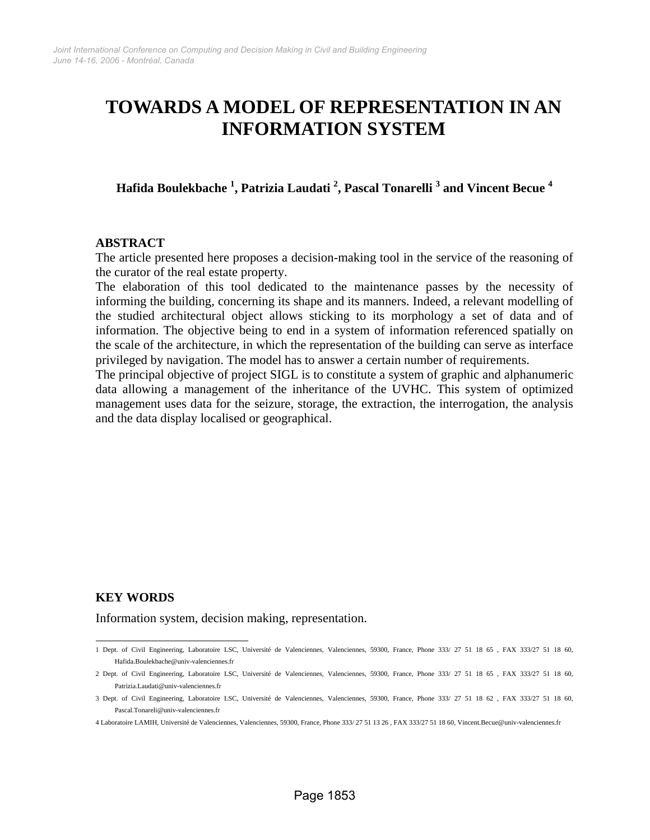# **TOWARDS A MODEL OF REPRESENTATION IN AN INFORMATION SYSTEM**

**Hafida Boulekbache <sup>1</sup> , Patrizia Laudati 2 , Pascal Tonarelli 3 and Vincent Becue 4**

#### **ABSTRACT**

The article presented here proposes a decision-making tool in the service of the reasoning of the curator of the real estate property.

The elaboration of this tool dedicated to the maintenance passes by the necessity of informing the building, concerning its shape and its manners. Indeed, a relevant modelling of the studied architectural object allows sticking to its morphology a set of data and of information. The objective being to end in a system of information referenced spatially on the scale of the architecture, in which the representation of the building can serve as interface privileged by navigation. The model has to answer a certain number of requirements.

The principal objective of project SIGL is to constitute a system of graphic and alphanumeric data allowing a management of the inheritance of the UVHC. This system of optimized management uses data for the seizure, storage, the extraction, the interrogation, the analysis and the data display localised or geographical.

# **KEY WORDS**

Information system, decision making, representation.

 1 Dept. of Civil Engineering, Laboratoire LSC, Université de Valenciennes, Valenciennes, 59300, France, Phone 333/ 27 51 18 65 , FAX 333/27 51 18 60, Hafida.Boulekbache@univ-valenciennes.fr

<sup>2</sup> Dept. of Civil Engineering, Laboratoire LSC, Université de Valenciennes, Valenciennes, 59300, France, Phone 333/ 27 51 18 65 , FAX 333/27 51 18 60, Patrizia.Laudati@univ-valenciennes.fr

<sup>3</sup> Dept. of Civil Engineering, Laboratoire LSC, Université de Valenciennes, Valenciennes, 59300, France, Phone 333/ 27 51 18 62 , FAX 333/27 51 18 60, Pascal.Tonareli@univ-valenciennes.fr

<sup>4</sup> Laboratoire LAMIH, Université de Valenciennes, Valenciennes, 59300, France, Phone 333/ 27 51 13 26 , FAX 333/27 51 18 60, Vincent.Becue@univ-valenciennes.fr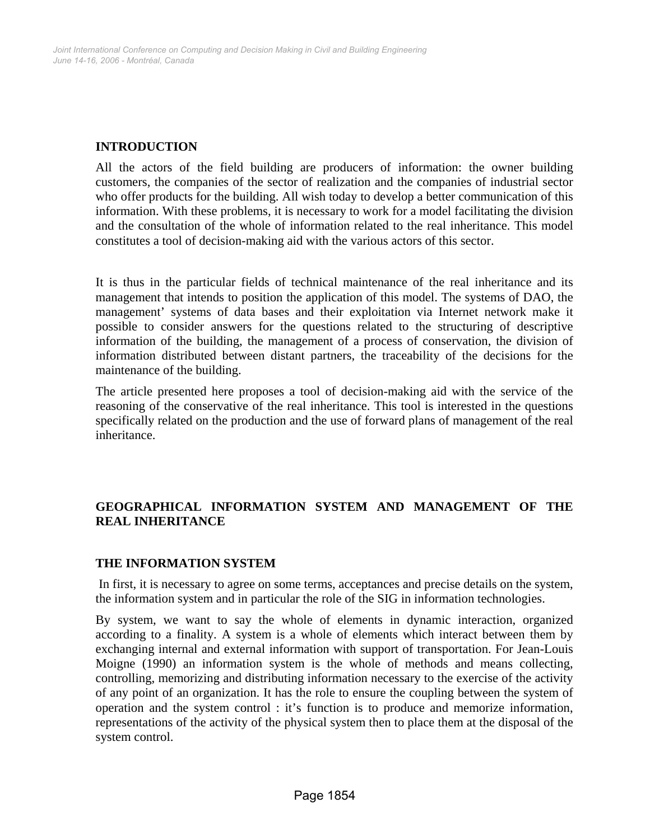# **INTRODUCTION**

All the actors of the field building are producers of information: the owner building customers, the companies of the sector of realization and the companies of industrial sector who offer products for the building. All wish today to develop a better communication of this information. With these problems, it is necessary to work for a model facilitating the division and the consultation of the whole of information related to the real inheritance. This model constitutes a tool of decision-making aid with the various actors of this sector.

It is thus in the particular fields of technical maintenance of the real inheritance and its management that intends to position the application of this model. The systems of DAO, the management' systems of data bases and their exploitation via Internet network make it possible to consider answers for the questions related to the structuring of descriptive information of the building, the management of a process of conservation, the division of information distributed between distant partners, the traceability of the decisions for the maintenance of the building.

The article presented here proposes a tool of decision-making aid with the service of the reasoning of the conservative of the real inheritance. This tool is interested in the questions specifically related on the production and the use of forward plans of management of the real inheritance.

# **GEOGRAPHICAL INFORMATION SYSTEM AND MANAGEMENT OF THE REAL INHERITANCE**

# **THE INFORMATION SYSTEM**

 In first, it is necessary to agree on some terms, acceptances and precise details on the system, the information system and in particular the role of the SIG in information technologies.

By system, we want to say the whole of elements in dynamic interaction, organized according to a finality. A system is a whole of elements which interact between them by exchanging internal and external information with support of transportation. For Jean-Louis Moigne (1990) an information system is the whole of methods and means collecting, controlling, memorizing and distributing information necessary to the exercise of the activity of any point of an organization. It has the role to ensure the coupling between the system of operation and the system control : it's function is to produce and memorize information, representations of the activity of the physical system then to place them at the disposal of the system control.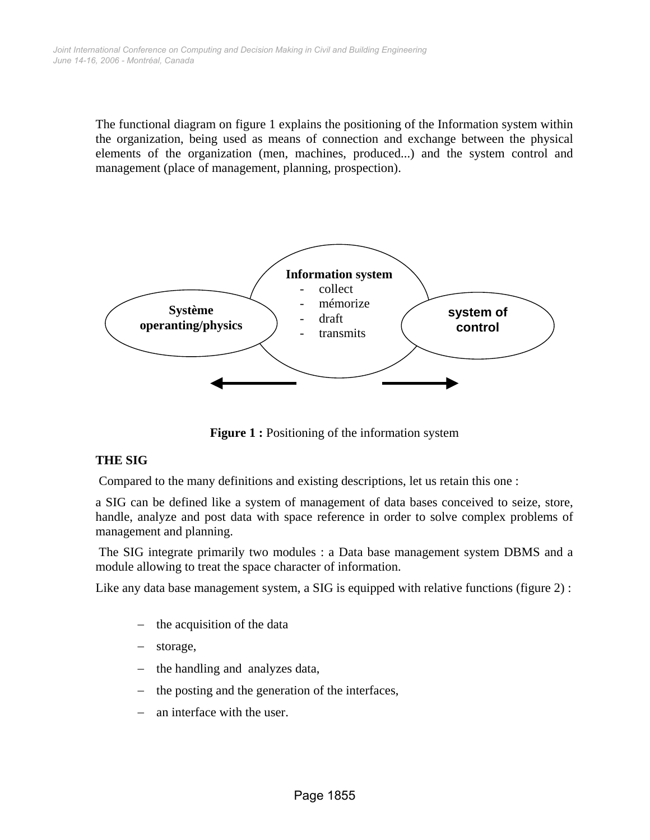The functional diagram on figure 1 explains the positioning of the Information system within the organization, being used as means of connection and exchange between the physical elements of the organization (men, machines, produced...) and the system control and management (place of management, planning, prospection).



**Figure 1 :** Positioning of the information system

# **THE SIG**

Compared to the many definitions and existing descriptions, let us retain this one :

a SIG can be defined like a system of management of data bases conceived to seize, store, handle, analyze and post data with space reference in order to solve complex problems of management and planning.

 The SIG integrate primarily two modules : a Data base management system DBMS and a module allowing to treat the space character of information.

Like any data base management system, a SIG is equipped with relative functions (figure 2) :

- the acquisition of the data
- storage,
- the handling and analyzes data,
- the posting and the generation of the interfaces,
- an interface with the user.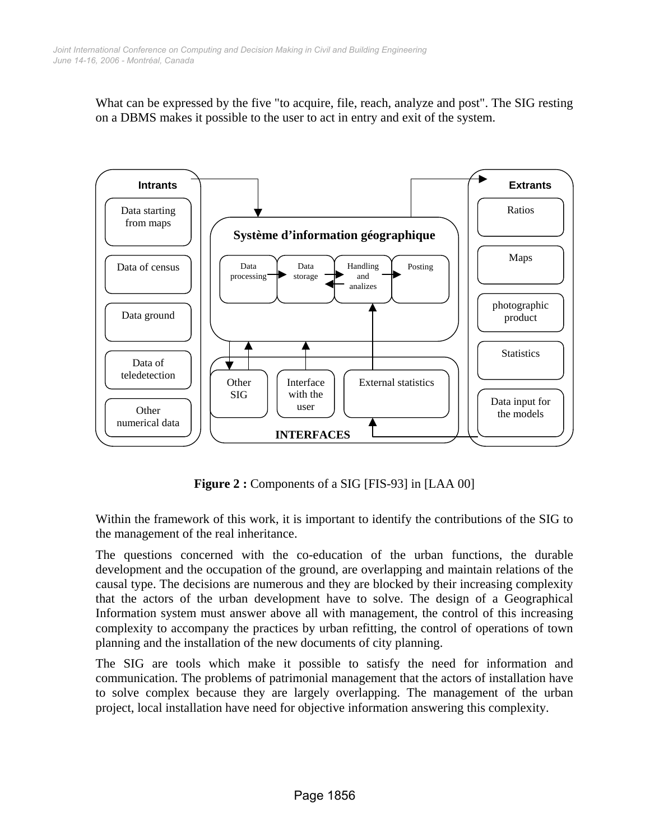What can be expressed by the five "to acquire, file, reach, analyze and post". The SIG resting on a DBMS makes it possible to the user to act in entry and exit of the system.



**Figure 2 :** Components of a SIG [FIS-93] in [LAA 00]

Within the framework of this work, it is important to identify the contributions of the SIG to the management of the real inheritance.

The questions concerned with the co-education of the urban functions, the durable development and the occupation of the ground, are overlapping and maintain relations of the causal type. The decisions are numerous and they are blocked by their increasing complexity that the actors of the urban development have to solve. The design of a Geographical Information system must answer above all with management, the control of this increasing complexity to accompany the practices by urban refitting, the control of operations of town planning and the installation of the new documents of city planning.

The SIG are tools which make it possible to satisfy the need for information and communication. The problems of patrimonial management that the actors of installation have to solve complex because they are largely overlapping. The management of the urban project, local installation have need for objective information answering this complexity.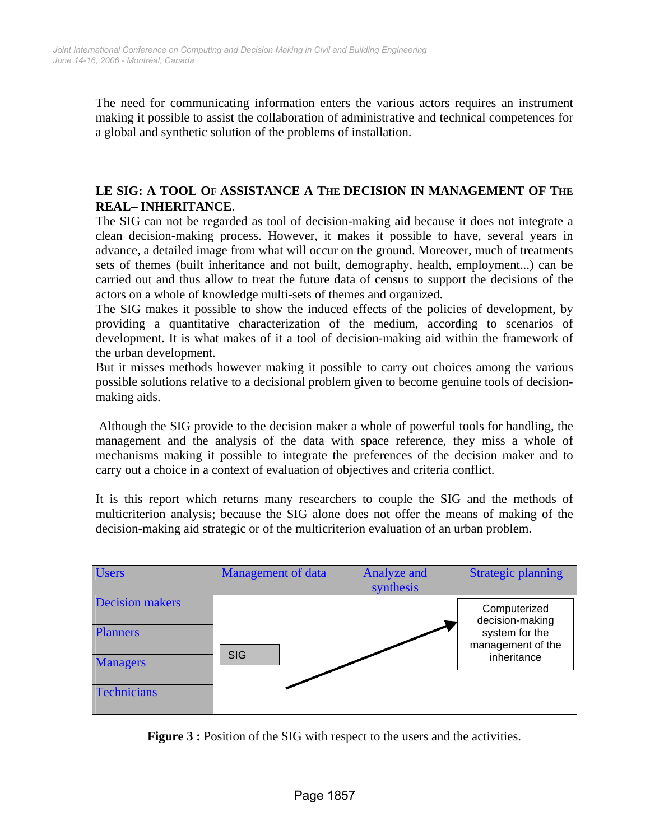The need for communicating information enters the various actors requires an instrument making it possible to assist the collaboration of administrative and technical competences for a global and synthetic solution of the problems of installation.

# **LE SIG: A TOOL OF ASSISTANCE A THE DECISION IN MANAGEMENT OF THE REAL**− **INHERITANCE**.

The SIG can not be regarded as tool of decision-making aid because it does not integrate a clean decision-making process. However, it makes it possible to have, several years in advance, a detailed image from what will occur on the ground. Moreover, much of treatments sets of themes (built inheritance and not built, demography, health, employment...) can be carried out and thus allow to treat the future data of census to support the decisions of the actors on a whole of knowledge multi-sets of themes and organized.

The SIG makes it possible to show the induced effects of the policies of development, by providing a quantitative characterization of the medium, according to scenarios of development. It is what makes of it a tool of decision-making aid within the framework of the urban development.

But it misses methods however making it possible to carry out choices among the various possible solutions relative to a decisional problem given to become genuine tools of decisionmaking aids.

 Although the SIG provide to the decision maker a whole of powerful tools for handling, the management and the analysis of the data with space reference, they miss a whole of mechanisms making it possible to integrate the preferences of the decision maker and to carry out a choice in a context of evaluation of objectives and criteria conflict.

It is this report which returns many researchers to couple the SIG and the methods of multicriterion analysis; because the SIG alone does not offer the means of making of the decision-making aid strategic or of the multicriterion evaluation of an urban problem.

| <b>Users</b>                                                 | <b>Management of data</b> | <b>Analyze and</b><br>synthesis | <b>Strategic planning</b>                                                             |
|--------------------------------------------------------------|---------------------------|---------------------------------|---------------------------------------------------------------------------------------|
| <b>Decision makers</b><br><b>Planners</b><br><b>Managers</b> | <b>SIG</b>                |                                 | Computerized<br>decision-making<br>system for the<br>management of the<br>inheritance |
| <b>Technicians</b>                                           |                           |                                 |                                                                                       |

**Figure 3 :** Position of the SIG with respect to the users and the activities.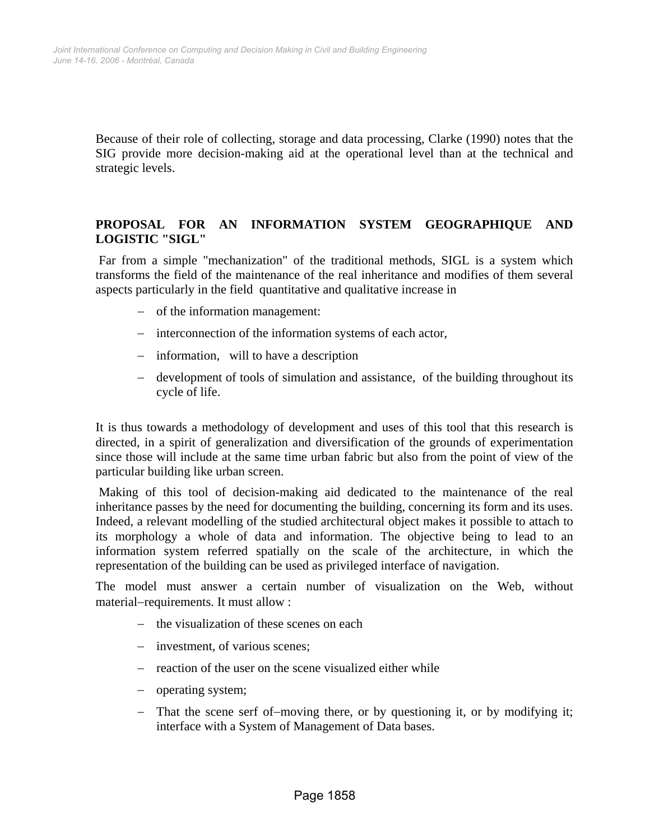Because of their role of collecting, storage and data processing, Clarke (1990) notes that the SIG provide more decision-making aid at the operational level than at the technical and strategic levels.

# **PROPOSAL FOR AN INFORMATION SYSTEM GEOGRAPHIQUE AND LOGISTIC "SIGL"**

 Far from a simple "mechanization" of the traditional methods, SIGL is a system which transforms the field of the maintenance of the real inheritance and modifies of them several aspects particularly in the field quantitative and qualitative increase in

- − of the information management:
- − interconnection of the information systems of each actor,
- − information, will to have a description
- − development of tools of simulation and assistance, of the building throughout its cycle of life.

It is thus towards a methodology of development and uses of this tool that this research is directed, in a spirit of generalization and diversification of the grounds of experimentation since those will include at the same time urban fabric but also from the point of view of the particular building like urban screen.

 Making of this tool of decision-making aid dedicated to the maintenance of the real inheritance passes by the need for documenting the building, concerning its form and its uses. Indeed, a relevant modelling of the studied architectural object makes it possible to attach to its morphology a whole of data and information. The objective being to lead to an information system referred spatially on the scale of the architecture, in which the representation of the building can be used as privileged interface of navigation.

The model must answer a certain number of visualization on the Web, without material−requirements. It must allow :

- − the visualization of these scenes on each
- − investment, of various scenes;
- − reaction of the user on the scene visualized either while
- − operating system;
- − That the scene serf of−moving there, or by questioning it, or by modifying it; interface with a System of Management of Data bases.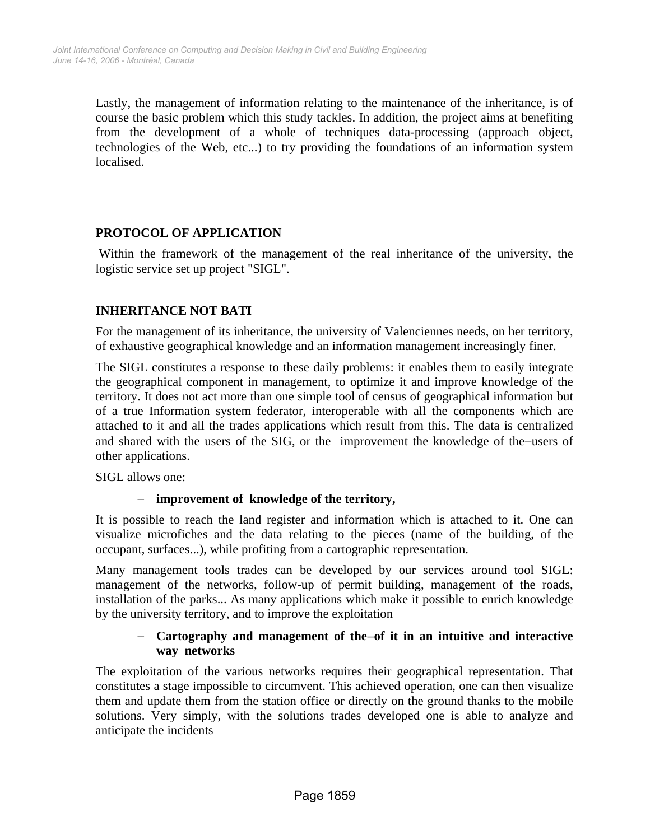Lastly, the management of information relating to the maintenance of the inheritance, is of course the basic problem which this study tackles. In addition, the project aims at benefiting from the development of a whole of techniques data-processing (approach object, technologies of the Web, etc...) to try providing the foundations of an information system localised.

# **PROTOCOL OF APPLICATION**

 Within the framework of the management of the real inheritance of the university, the logistic service set up project "SIGL".

# **INHERITANCE NOT BATI**

For the management of its inheritance, the university of Valenciennes needs, on her territory, of exhaustive geographical knowledge and an information management increasingly finer.

The SIGL constitutes a response to these daily problems: it enables them to easily integrate the geographical component in management, to optimize it and improve knowledge of the territory. It does not act more than one simple tool of census of geographical information but of a true Information system federator, interoperable with all the components which are attached to it and all the trades applications which result from this. The data is centralized and shared with the users of the SIG, or the improvement the knowledge of the−users of other applications.

SIGL allows one:

# − **improvement of knowledge of the territory,**

It is possible to reach the land register and information which is attached to it. One can visualize microfiches and the data relating to the pieces (name of the building, of the occupant, surfaces...), while profiting from a cartographic representation.

Many management tools trades can be developed by our services around tool SIGL: management of the networks, follow-up of permit building, management of the roads, installation of the parks... As many applications which make it possible to enrich knowledge by the university territory, and to improve the exploitation

# − **Cartography and management of the**−**of it in an intuitive and interactive way networks**

The exploitation of the various networks requires their geographical representation. That constitutes a stage impossible to circumvent. This achieved operation, one can then visualize them and update them from the station office or directly on the ground thanks to the mobile solutions. Very simply, with the solutions trades developed one is able to analyze and anticipate the incidents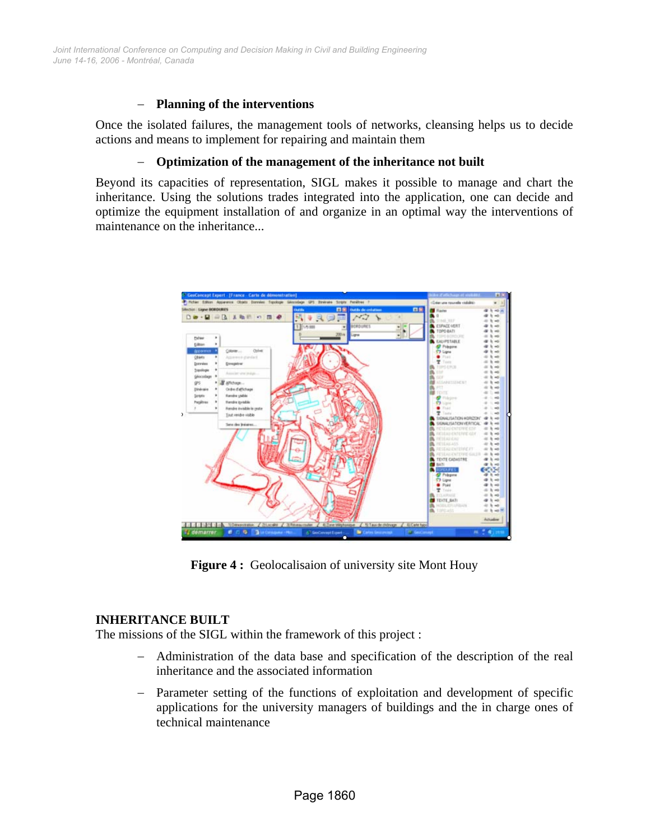*June 14-16, 2006 - Montréal, Canada Joint International Conference on Computing and Decision Making in Civil and Building Engineering*

#### − **Planning of the interventions**

Once the isolated failures, the management tools of networks, cleansing helps us to decide actions and means to implement for repairing and maintain them

#### − **Optimization of the management of the inheritance not built**

Beyond its capacities of representation, SIGL makes it possible to manage and chart the inheritance. Using the solutions trades integrated into the application, one can decide and optimize the equipment installation of and organize in an optimal way the interventions of maintenance on the inheritance...



**Figure 4:** Geolocalisaion of university site Mont Houy

#### **INHERITANCE BUILT**

The missions of the SIGL within the framework of this project :

- − Administration of the data base and specification of the description of the real inheritance and the associated information
- Parameter setting of the functions of exploitation and development of specific applications for the university managers of buildings and the in charge ones of technical maintenance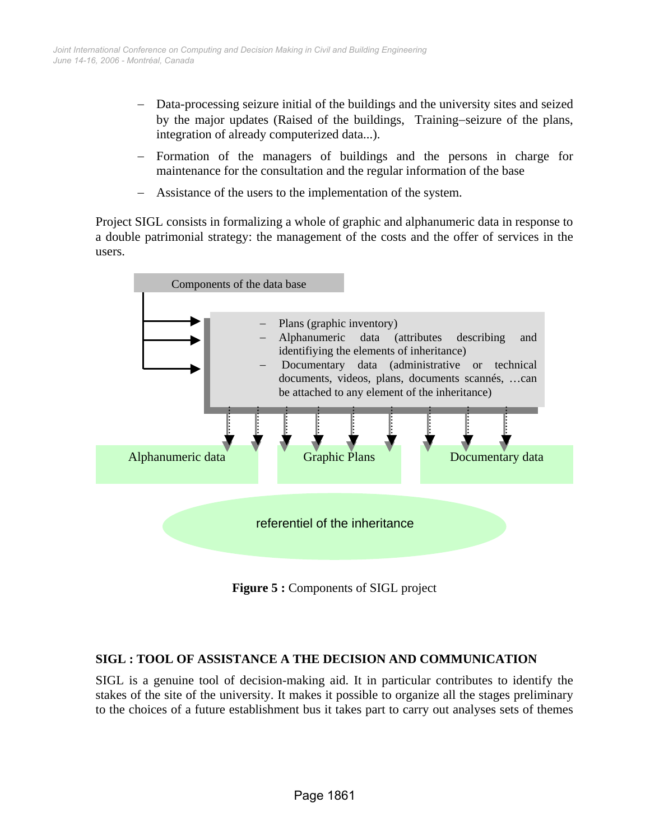- Data-processing seizure initial of the buildings and the university sites and seized by the major updates (Raised of the buildings, Training−seizure of the plans, integration of already computerized data...).
- Formation of the managers of buildings and the persons in charge for maintenance for the consultation and the regular information of the base
- − Assistance of the users to the implementation of the system.

Project SIGL consists in formalizing a whole of graphic and alphanumeric data in response to a double patrimonial strategy: the management of the costs and the offer of services in the users.



**Figure 5 : Components of SIGL project** 

# **SIGL : TOOL OF ASSISTANCE A THE DECISION AND COMMUNICATION**

SIGL is a genuine tool of decision-making aid. It in particular contributes to identify the stakes of the site of the university. It makes it possible to organize all the stages preliminary to the choices of a future establishment bus it takes part to carry out analyses sets of themes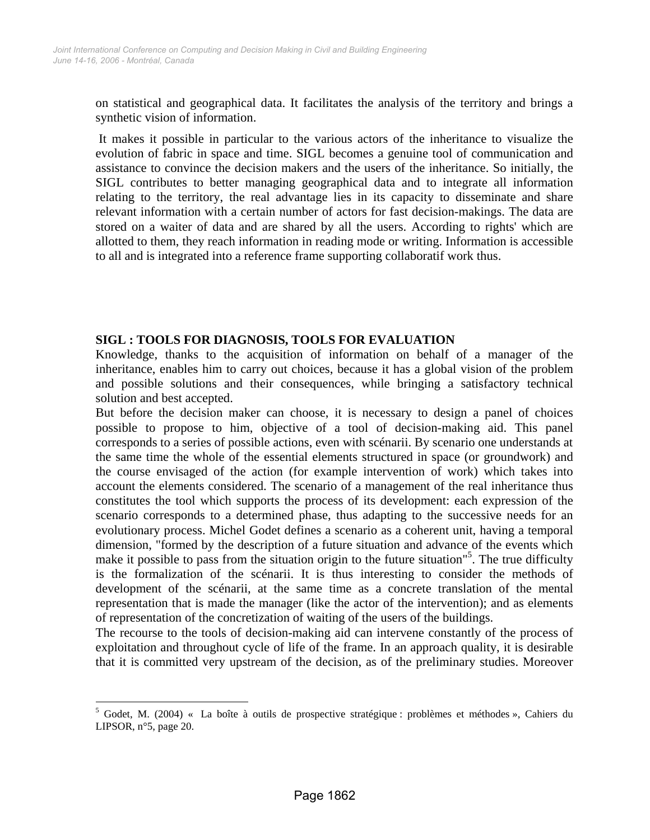on statistical and geographical data. It facilitates the analysis of the territory and brings a synthetic vision of information.

 It makes it possible in particular to the various actors of the inheritance to visualize the evolution of fabric in space and time. SIGL becomes a genuine tool of communication and assistance to convince the decision makers and the users of the inheritance. So initially, the SIGL contributes to better managing geographical data and to integrate all information relating to the territory, the real advantage lies in its capacity to disseminate and share relevant information with a certain number of actors for fast decision-makings. The data are stored on a waiter of data and are shared by all the users. According to rights' which are allotted to them, they reach information in reading mode or writing. Information is accessible to all and is integrated into a reference frame supporting collaboratif work thus.

#### **SIGL : TOOLS FOR DIAGNOSIS, TOOLS FOR EVALUATION**

Knowledge, thanks to the acquisition of information on behalf of a manager of the inheritance, enables him to carry out choices, because it has a global vision of the problem and possible solutions and their consequences, while bringing a satisfactory technical solution and best accepted.

But before the decision maker can choose, it is necessary to design a panel of choices possible to propose to him, objective of a tool of decision-making aid. This panel corresponds to a series of possible actions, even with scénarii. By scenario one understands at the same time the whole of the essential elements structured in space (or groundwork) and the course envisaged of the action (for example intervention of work) which takes into account the elements considered. The scenario of a management of the real inheritance thus constitutes the tool which supports the process of its development: each expression of the scenario corresponds to a determined phase, thus adapting to the successive needs for an evolutionary process. Michel Godet defines a scenario as a coherent unit, having a temporal dimension, "formed by the description of a future situation and advance of the events which make it possible to pass from the situation origin to the future situation"<sup>5</sup>. The true difficulty is the formalization of the scénarii. It is thus interesting to consider the methods of development of the scénarii, at the same time as a concrete translation of the mental representation that is made the manager (like the actor of the intervention); and as elements of representation of the concretization of waiting of the users of the buildings.

The recourse to the tools of decision-making aid can intervene constantly of the process of exploitation and throughout cycle of life of the frame. In an approach quality, it is desirable that it is committed very upstream of the decision, as of the preliminary studies. Moreover

 $\overline{a}$ 

<sup>&</sup>lt;sup>5</sup> Godet, M. (2004) « La boîte à outils de prospective stratégique : problèmes et méthodes », Cahiers du LIPSOR, n°5, page 20.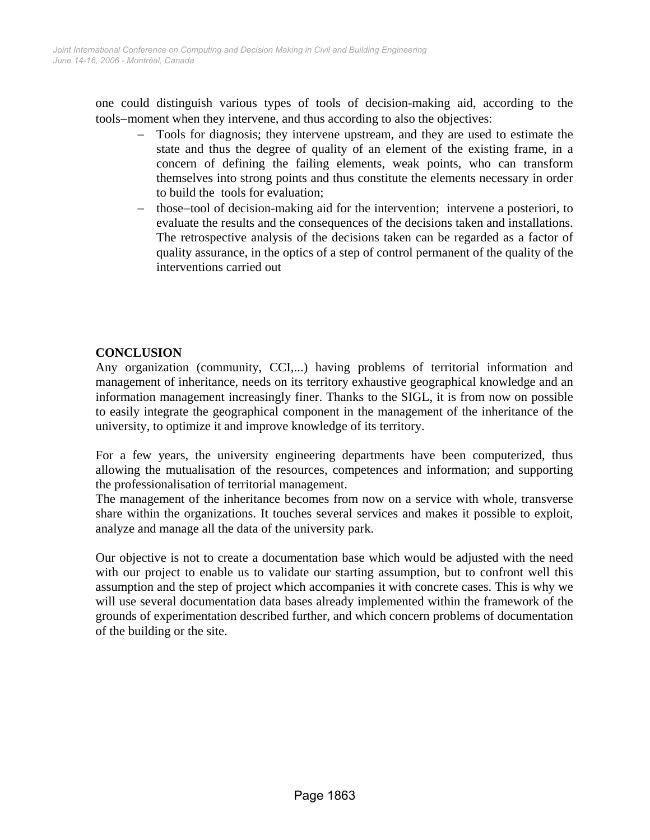one could distinguish various types of tools of decision-making aid, according to the tools−moment when they intervene, and thus according to also the objectives:

- Tools for diagnosis; they intervene upstream, and they are used to estimate the state and thus the degree of quality of an element of the existing frame, in a concern of defining the failing elements, weak points, who can transform themselves into strong points and thus constitute the elements necessary in order to build the tools for evaluation;
- those–tool of decision-making aid for the intervention; intervene a posteriori, to evaluate the results and the consequences of the decisions taken and installations. The retrospective analysis of the decisions taken can be regarded as a factor of quality assurance, in the optics of a step of control permanent of the quality of the interventions carried out

# **CONCLUSION**

Any organization (community, CCI,...) having problems of territorial information and management of inheritance, needs on its territory exhaustive geographical knowledge and an information management increasingly finer. Thanks to the SIGL, it is from now on possible to easily integrate the geographical component in the management of the inheritance of the university, to optimize it and improve knowledge of its territory.

For a few years, the university engineering departments have been computerized, thus allowing the mutualisation of the resources, competences and information; and supporting the professionalisation of territorial management.

The management of the inheritance becomes from now on a service with whole, transverse share within the organizations. It touches several services and makes it possible to exploit, analyze and manage all the data of the university park.

Our objective is not to create a documentation base which would be adjusted with the need with our project to enable us to validate our starting assumption, but to confront well this assumption and the step of project which accompanies it with concrete cases. This is why we will use several documentation data bases already implemented within the framework of the grounds of experimentation described further, and which concern problems of documentation of the building or the site.